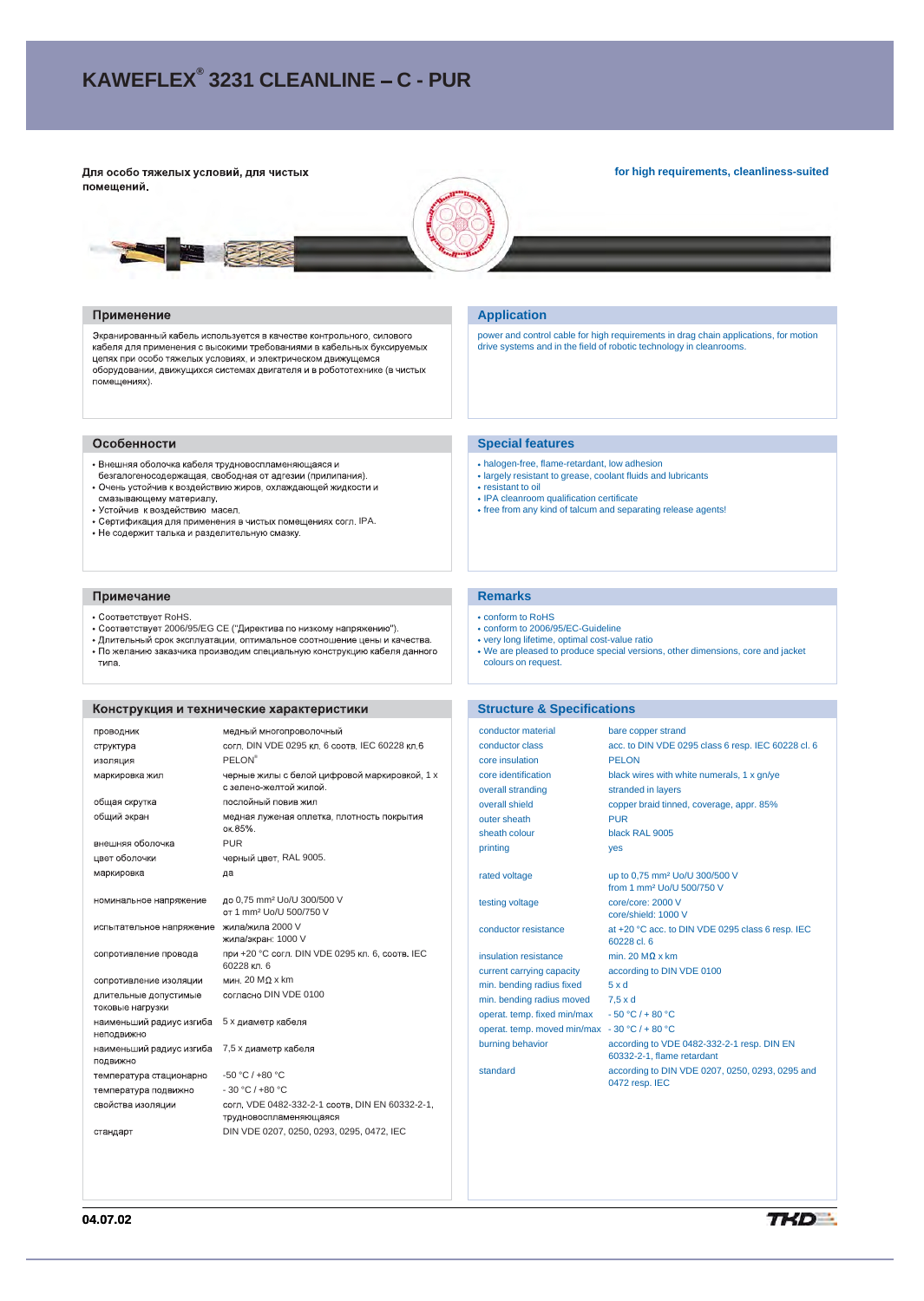# **KAWEFLEX<sup>®</sup> 3231 CLEANLINE – C - PUR**

Для особо тяжелых условий, для чистых помещений.

#### **for high requirements, cleanliness-suited**



#### Применение

Экранированный кабель используется в качестве контрольного, силового кабеля для применения с высокими требованиями в кабельных буксируемых цепях при особо тяжелых условиях, и электрическом движущемся оборудовании, движущихся системах двигателя и в робототехнике (в чистых помещениях).

#### Особенности

- Внешняя оболочка кабеля трудновоспламеняющаяся и
- безгалогеносодержащая, свободная от адгезии (прилипания).<br>• Очень устойчив к воздействию жиров, охлаждающей жидкости и
- смазывающему материалу.
- Устойчив к воздействию масел.
- Сертификация для применения в чистых помещениях согл. IPA.
- Не содержит талька и разделительную смазку.

## Примечание

- Соответствует RoHS.
- 
- Соответствует 2006/95/EG CE ("Директива по низкому напряжению").<br>• Длительный срок эксплуатации, оптимальное соотношение цены и качества.<br>• По желанию заказчика производим специальную конструкцию кабеля данного
- типа.

# Конструкция и технические характеристики

| ПРОВОДНИК                              | медный многопроволочный                                                       |
|----------------------------------------|-------------------------------------------------------------------------------|
| структура                              | согл. DIN VDE 0295 кл. 6 соотв. IEC 60228 кл. 6                               |
| изоляция                               | <b>PELON®</b>                                                                 |
| маркировка жил                         | черные жилы с белой цифровой маркировкой, 1 х<br>с зелено-желтой жилой.       |
| общая скрутка                          | послойный повив жил                                                           |
| общий экран                            | медная луженая оплетка, плотность покрытия<br>ок.85%.                         |
| внешняя оболочка                       | <b>PUR</b>                                                                    |
| цвет оболочки                          | черный цвет, RAL 9005.                                                        |
| маркировка                             | да                                                                            |
|                                        |                                                                               |
| номинальное напряжение                 | до 0,75 mm <sup>2</sup> Uo/U 300/500 V<br>от 1 mm <sup>2</sup> Uo/U 500/750 V |
| испытательное напряжение               | жила/жила 2000 V<br>жила/экран: 1000 V                                        |
| сопротивление провода                  | при +20 °С согл. DIN VDE 0295 кл. 6, соотв. IEC<br>60228 кл. 6                |
| сопротивление изоляции                 | мин. 20 М $\Omega$ х km                                                       |
| длительные допустимые                  | согласно DIN VDE 0100                                                         |
| токовые нагрузки                       |                                                                               |
| наименьший радиус изгиба<br>неподвижно | 5 х диаметр кабеля                                                            |
| наименьший радиус изгиба<br>ПОДВИЖНО   | 7,5 х диаметр кабеля                                                          |
| температура стационарно                | $-50 °C / +80 °C$                                                             |
| температура подвижно                   | $-30 °C / +80 °C$                                                             |
| свойства изоляции                      | согл. VDE 0482-332-2-1 соотв. DIN EN 60332-2-1,<br>трудновоспламеняющаяся     |
| стандарт                               | DIN VDE 0207, 0250, 0293, 0295, 0472, IEC                                     |

## **Application**

power and control cable for high requirements in drag chain applications, for motion drive systems and in the field of robotic technology in cleanrooms.

## **Special features**

- halogen-free, flame-retardant, low adhesion
- largely resistant to grease, coolant fluids and lubricants
- resistant to oil
- IPA cleanroom qualification certificate • free from any kind of talcum and separating release agents!

# **Remarks**

- conform to RoHS
- conform to 2006/95/EC-Guideline
- 
- very long lifetime, optimal cost-value ratio We are pleased to produce special versions, other dimensions, core and jacket colours on request.

# **Structure & Specifications**

| conductor material          | bare copper strand                                              |
|-----------------------------|-----------------------------------------------------------------|
| conductor class             | acc. to DIN VDE 0295 class 6 resp. IEC 60228 cl. 6              |
| core insulation             | <b>PELON</b>                                                    |
| core identification         | black wires with white numerals, 1 x gn/ye                      |
| overall stranding           | stranded in layers                                              |
| overall shield              | copper braid tinned, coverage, appr. 85%                        |
| outer sheath                | <b>PUR</b>                                                      |
| sheath colour               | black RAL 9005                                                  |
| printing                    | yes                                                             |
|                             |                                                                 |
| rated voltage               | up to 0,75 mm <sup>2</sup> Uo/U 300/500 V                       |
|                             | from 1 mm <sup>2</sup> Uo/U 500/750 V                           |
| testing voltage             | core/core: 2000 V                                               |
|                             | core/shield: 1000 V                                             |
| conductor resistance        | at +20 °C acc. to DIN VDE 0295 class 6 resp. IEC<br>60228 cl. 6 |
| insulation resistance       | min. 20 $M\Omega$ x km                                          |
| current carrying capacity   | according to DIN VDE 0100                                       |
| min. bending radius fixed   | 5xd                                                             |
| min. bending radius moved   | $7.5 \times d$                                                  |
| operat. temp. fixed min/max | $-50 °C / + 80 °C$                                              |
| operat. temp. moved min/max | $-30 °C / + 80 °C$                                              |
| burning behavior            | according to VDE 0482-332-2-1 resp. DIN EN                      |
|                             | 60332-2-1, flame retardant                                      |
| standard                    | according to DIN VDE 0207, 0250, 0293, 0295 and                 |
|                             | 0472 resp. IEC                                                  |
|                             |                                                                 |
|                             |                                                                 |